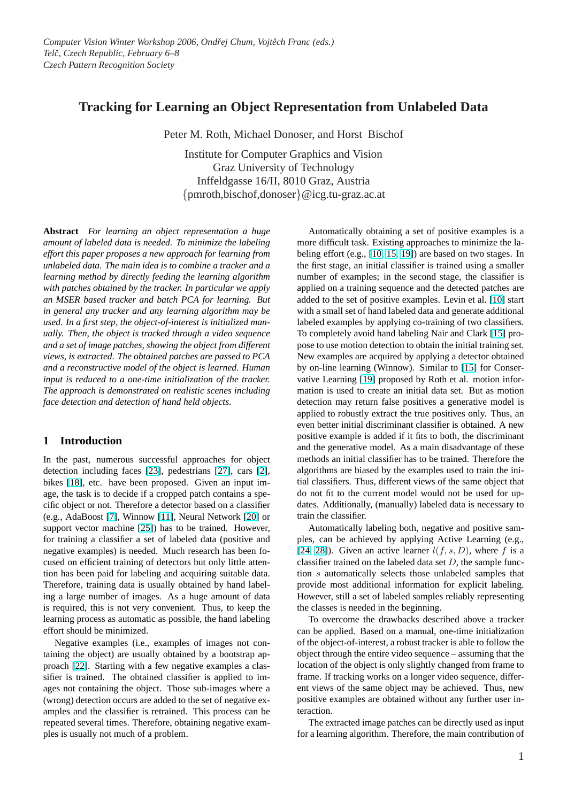# **Tracking for Learning an Object Representation from Unlabeled Data**

Peter M. Roth, Michael Donoser, and Horst Bischof

Institute for Computer Graphics and Vision Graz University of Technology Inffeldgasse 16/II, 8010 Graz, Austria {pmroth,bischof,donoser}@icg.tu-graz.ac.at

**Abstract** *For learning an object representation a huge amount of labeled data is needed. To minimize the labeling effort this paper proposes a new approach for learning from unlabeled data. The main idea is to combine a tracker and a learning method by directly feeding the learning algorithm with patches obtained by the tracker. In particular we apply an MSER based tracker and batch PCA for learning. But in general any tracker and any learning algorithm may be used. In a first step, the object-of-interest is initialized manually. Then, the object is tracked through a video sequence and a set of image patches, showing the object from different views, is extracted. The obtained patches are passed to PCA and a reconstructive model of the object is learned. Human input is reduced to a one-time initialization of the tracker. The approach is demonstrated on realistic scenes including face detection and detection of hand held objects.*

# **1 Introduction**

In the past, numerous successful approaches for object detection including faces [23], pedestrians [27], cars [2], bikes [18], etc. have been proposed. Given an input image, the task is to decide if a cropped patch contains a specific object or not. Therefore a detector based on a classifier (e.g., AdaBoost [7], Winn[ow \[](#page-5-0)11], Neural N[etwo](#page-5-0)rk [20[\] o](#page-5-0)r suppo[rt ve](#page-5-0)ctor machine [25]) has to be trained. However, for training a classifier a set of labeled data (positive and negative examples) is needed. Much research has been focused on efficien[t t](#page-5-0)raining of [dete](#page-5-0)ctors but only little [att](#page-5-0)ention has been paid for la[beli](#page-5-0)ng and acquiring suitable data. Therefore, training data is usually obtained by hand labeling a large number of images. As a huge amount of data is required, this is not very convenient. Thus, to keep the learning process as automatic as possible, the hand labeling effort should be minimized.

Negative examples (i.e., examples of images not containing the object) are usually obtained by a bootstrap approach [22]. Starting with a few negative examples a classifier is trained. The obtained classifier is applied to images not containing the object. Those sub-images where a (wrong) detection occurs are added to the set of negative examples [and](#page-5-0) the classifier is retrained. This process can be repeated several times. Therefore, obtaining negative examples is usually not much of a problem.

Automatically obtaining a set of positive examples is a more difficult task. Existing approaches to minimize the labeling effort (e.g., [10, 15, 19]) are based on two stages. In the first stage, an initial classifier is trained using a smaller number of examples; in the second stage, the classifier is applied on a training sequence and the detected patches are added to the set of [pos](#page-5-0)i[tive exa](#page-5-0)mples. Levin et al. [10] start with a small set of hand labeled data and generate additional labeled examples by applying co-training of two classifiers. To completely avoid hand labeling Nair and Clark [15] propose to use motion detection to obtain the initial tra[inin](#page-5-0)g set. New examples are acquired by applying a detector obtained by on-line learning (Winnow). Similar to [15] for Conservative Learning [19] proposed by Roth et al. moti[on i](#page-5-0)nformation is used to create an initial data set. But as motion detection may return false positives a generative model is applied to robustly extract the true positive[s on](#page-5-0)ly. Thus, an even better initia[l dis](#page-5-0)criminant classifier is obtained. A new positive example is added if it fits to both, the discriminant and the generative model. As a main disadvantage of these methods an initial classifier has to be trained. Therefore the algorithms are biased by the examples used to train the initial classifiers. Thus, different views of the same object that do not fit to the current model would not be used for updates. Additionally, (manually) labeled data is necessary to train the classifier.

Automatically labeling both, negative and positive samples, can be achieved by applying Active Learning (e.g., [24, 28]). Given an active learner  $l(f, s, D)$ , where f is a classifier trained on the labeled data set  $D$ , the sample function s automatically selects those unlabeled samples that provide most additional information for explicit labeling. [Howeve](#page-5-0)r, still a set of labeled samples reliably representing the classes is needed in the beginning.

To overcome the drawbacks described above a tracker can be applied. Based on a manual, one-time initialization of the object-of-interest, a robust tracker is able to follow the object through the entire video sequence – assuming that the location of the object is only slightly changed from frame to frame. If tracking works on a longer video sequence, different views of the same object may be achieved. Thus, new positive examples are obtained without any further user interaction.

The extracted image patches can be directly used as input for a learning algorithm. Therefore, the main contribution of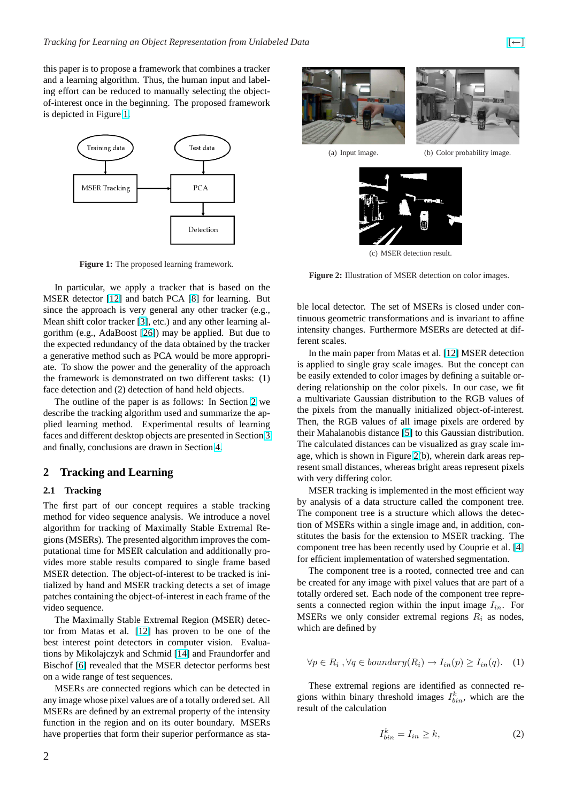<span id="page-1-0"></span>this paper is to propose a framework that combines a tracker and a learning algorithm. Thus, the human input and labeling effort can be reduced to manually selecting the objectof-interest once in the beginning. The proposed framework is depicted in Figure 1.



**Figure 1:** The proposed learning framework.

In particular, we apply a tracker that is based on the MSER detector [12] and batch PCA [8] for learning. But since the approach is very general any other tracker (e.g., Mean shift color tracker [3], etc.) and any other learning algorithm (e.g., AdaBoost [26]) may be applied. But due to the expected red[unda](#page-5-0)ncy of the data o[bta](#page-5-0)ined by the tracker a generative method such as PCA would be more appropriate. To show the power [an](#page-5-0)d the generality of the approach the framework is demons[trat](#page-5-0)ed on two different tasks: (1) face detection and (2) detection of hand held objects.

The outline of the paper is as follows: In Section 2 we describe the tracking algorithm used and summarize the applied learning method. Experimental results of learning faces and different desktop objects are presented in Section 3 and finally, conclusions are drawn in Section 4.

# **2 Tracking and Learning**

#### **2.1 Tracking**

The first part of our concept requires a stable tracking method for video sequence analysis. We introduce a novel algorithm for tracking of Maximally Stable Extremal Regions (MSERs). The presented algorithm improves the computational time for MSER calculation and additionally provides more stable results compared to single frame based MSER detection. The object-of-interest to be tracked is initialized by hand and MSER tracking detects a set of image patches containing the object-of-interest in each frame of the video sequence.

The Maximally Stable Extremal Region (MSER) detector from Matas et al. [12] has proven to be one of the best interest point detectors in computer vision. Evaluations by Mikolajczyk and Schmid [14] and Fraundorfer and Bischof [6] revealed that the MSER detector performs best on a wide range of test s[equ](#page-5-0)ences.

MSERs are connected regions which can be detected in any image whose pixel values are o[f a t](#page-5-0)otally ordered set. All MSERs [are](#page-5-0) defined by an extremal property of the intensity function in the region and on its outer boundary. MSERs have properties that form their superior performance as sta-





(a) Input image. (b) Color probability image.



(c) MSER detection result.

**Figure 2:** Illustration of MSER detection on color images.

ble local detector. The set of MSERs is closed under continuous geometric transformations and is invariant to affine intensity changes. Furthermore MSERs are detected at different scales.

In the main paper from Matas et al. [12] MSER detection is applied to single gray scale images. But the concept can be easily extended to color images by defining a suitable ordering relationship on the color pixels. In our case, we fit a multivariate Gaussian distribution t[o th](#page-5-0)e RGB values of the pixels from the manually initialized object-of-interest. Then, the RGB values of all image pixels are ordered by their Mahalanobis distance [5] to this Gaussian distribution. The calculated distances can be visualized as gray scale image, which is shown in Figure 2(b), wherein dark areas represent small distances, whereas bright areas represent pixels with very differing color.

MSER tracking is implemented in the most efficient way by analysis of a data structure called the component tree. The component tree is a structure which allows the detection of MSERs within a single image and, in addition, constitutes the basis for the extension to MSER tracking. The component tree has been recently used by Couprie et al. [4] for efficient implementation of watershed segmentation.

The component tree is a rooted, connected tree and can be created for any image with pixel values that are part of a totally ordered set. Each node of the component tree rep[re](#page-5-0)sents a connected region within the input image  $I_{in}$ . For MSERs we only consider extremal regions  $R_i$  as nodes, which are defined by

$$
\forall p \in R_i \; , \forall q \in boundary(R_i) \to I_{in}(p) \ge I_{in}(q). \quad (1)
$$

These extremal regions are identified as connected regions within binary threshold images  $I_{bin}^k$ , which are the result of the calculation

$$
I_{bin}^k = I_{in} \ge k,\t\t(2)
$$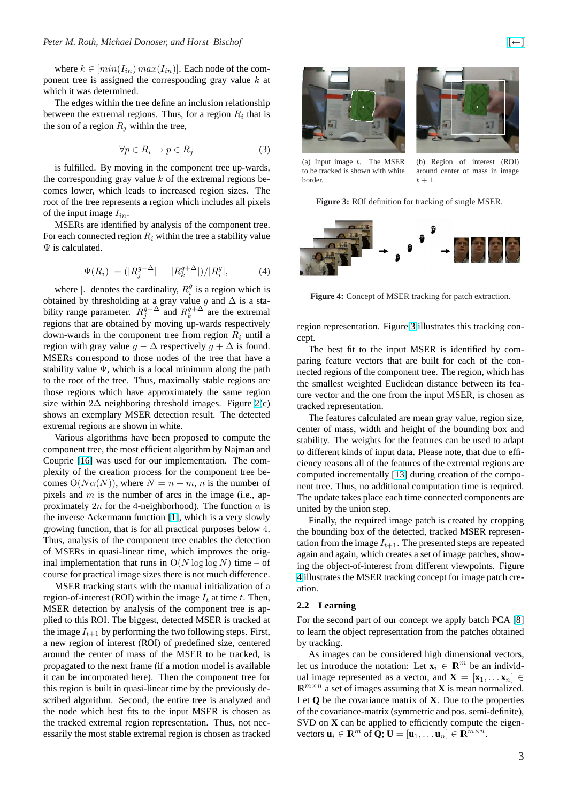where  $k \in [min(I_{in}) max(I_{in})]$ . Each node of the component tree is assigned the corresponding gray value  $k$  at which it was determined.

The edges within the tree define an inclusion relationship between the extremal regions. Thus, for a region  $R_i$  that is the son of a region  $R_j$  within the tree,

$$
\forall p \in R_i \to p \in R_j \tag{3}
$$

is fulfilled. By moving in the component tree up-wards, the corresponding gray value  $k$  of the extremal regions becomes lower, which leads to increased region sizes. The root of the tree represents a region which includes all pixels of the input image  $I_{in}$ .

MSERs are identified by analysis of the component tree. For each connected region  $R_i$  within the tree a stability value  $\Psi$  is calculated.

$$
\Psi(R_i) = (|R_j^{g-\Delta}| - |R_k^{g+\Delta}|)/|R_i^g|,
$$
\n(4)

where |. | denotes the cardinality,  $R_i^g$  is a region which is obtained by thresholding at a gray value g and  $\Delta$  is a stability range parameter.  $R_j^{g-\Delta}$  and  $R_k^{g+\Delta}$  are the extremal regions that are obtained by moving up-wards respectively down-wards in the component tree from region  $R_i$  until a region with gray value  $g - \Delta$  respectively  $g + \Delta$  is found. MSERs correspond to those nodes of the tree that have a stability value  $\Psi$ , which is a local minimum along the path to the root of the tree. Thus, maximally stable regions are those regions which have approximately the same region size within  $2\Delta$  neighboring threshold images. Figure 2(c) shows an exemplary MSER detection result. The detected extremal regions are shown in white.

Various algorithms have been proposed to compute the component tree, the most efficient algorithm by Najma[n a](#page-1-0)nd Couprie [16] was used for our implementation. The complexity of the creation process for the component tree becomes  $O(N\alpha(N))$ , where  $N = n + m$ , *n* is the number of pixels and  $m$  is the number of arcs in the image (i.e., approximat[ely](#page-5-0) 2n for the 4-neighborhood). The function  $\alpha$  is the inverse Ackermann function [1], which is a very slowly growing function, that is for all practical purposes below 4. Thus, analysis of the component tree enables the detection of MSERs in quasi-linear time, which improves the original implementation that runs in  $O(N \log \log N)$  $O(N \log \log N)$  time – of course for practical image sizes there is not much difference.

MSER tracking starts with the manual initialization of a region-of-interest (ROI) within the image  $I_t$  at time t. Then, MSER detection by analysis of the component tree is applied to this ROI. The biggest, detected MSER is tracked at the image  $I_{t+1}$  by performing the two following steps. First, a new region of interest (ROI) of predefined size, centered around the center of mass of the MSER to be tracked, is propagated to the next frame (if a motion model is available it can be incorporated here). Then the component tree for this region is built in quasi-linear time by the previously described algorithm. Second, the entire tree is analyzed and the node which best fits to the input MSER is chosen as the tracked extremal region representation. Thus, not necessarily the most stable extremal region is chosen as tracked





(a) Input image  $t$ . The MSER to be tracked is shown with white border.

(b) Region of interest (ROI) around center of mass in image  $t+1$ .

**Figure 3:** ROI definition for tracking of single MSER.



**Figure 4:** Concept of MSER tracking for patch extraction.

region representation. Figure 3 illustrates this tracking concept.

The best fit to the input MSER is identified by comparing feature vectors that are built for each of the connected regions of the component tree. The region, which has the smallest weighted Euclidean distance between its feature vector and the one from the input MSER, is chosen as tracked representation.

The features calculated are mean gray value, region size, center of mass, width and height of the bounding box and stability. The weights for the features can be used to adapt to different kinds of input data. Please note, that due to efficiency reasons all of the features of the extremal regions are computed incrementally [13] during creation of the component tree. Thus, no additional computation time is required. The update takes place each time connected components are united by the union step.

Finally, the required i[mag](#page-5-0)e patch is created by cropping the bounding box of the detected, tracked MSER representation from the image  $I_{t+1}$ . The presented steps are repeated again and again, which creates a set of image patches, showing the object-of-interest from different viewpoints. Figure 4 illustrates the MSER tracking concept for image patch creation.

#### **2.2 Learning**

For the second part of our concept we apply batch PCA [8] to learn the object representation from the patches obtained by tracking.

As images can be considered high dimensional vectors, let us introduce the notation: Let  $\mathbf{x}_i \in \mathbb{R}^m$  be an indiv[id](#page-5-0)ual image represented as a vector, and  $\mathbf{X} = [\mathbf{x}_1, \dots, \mathbf{x}_n]$  ∈  $\mathbb{R}^{m \times n}$  a set of images assuming that **X** is mean normalized. Let **Q** be the covariance matrix of **X**. Due to the properties of the covariance-matrix (symmetric and pos. semi-definite), SVD on **X** can be applied to efficiently compute the eigenvectors  $\mathbf{u}_i \in \mathbb{R}^m$  of  $\mathbf{Q}; \mathbf{U} = [\mathbf{u}_1, \dots \mathbf{u}_n] \in \mathbb{R}^{m \times n}$ .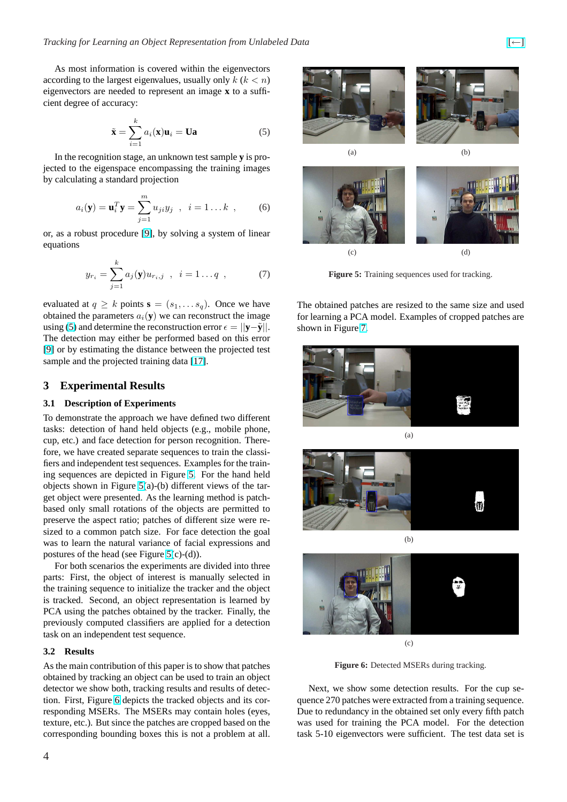As most information is covered within the eigenvectors according to the largest eigenvalues, usually only  $k (k < n)$ eigenvectors are needed to represent an image **x** to a sufficient degree of accuracy:

$$
\tilde{\mathbf{x}} = \sum_{i=1}^{k} a_i(\mathbf{x}) \mathbf{u}_i = \mathbf{U} \mathbf{a}
$$
 (5)

In the recognition stage, an unknown test sample **y** is projected to the eigenspace encompassing the training images by calculating a standard projection

$$
a_i(\mathbf{y}) = \mathbf{u}_i^T \mathbf{y} = \sum_{j=1}^m u_{ji} y_j \quad , \quad i = 1 \dots k \quad , \tag{6}
$$

or, as a robust procedure [9], by solving a system of linear equations

$$
y_{r_i} = \sum_{j=1}^{k} a_j(\mathbf{y}) u_{r_i,j} \quad , \quad i = 1 \dots q \quad , \tag{7}
$$

evaluated at  $q \ge k$  points  $\mathbf{s} = (s_1, \dots s_q)$ . Once we have obtained the parameters  $a_i(\mathbf{y})$  we can reconstruct the image using (5) and determine the reconstruction error  $\epsilon = ||\mathbf{v} - \tilde{\mathbf{v}}||$ . The detection may either be performed based on this error [9] or by estimating the distance between the projected test sample and the projected training data [17].

### **3 Experimental Results**

#### **[3.1](#page-5-0) Description of Experiments**

To demonstrate the approach we have defined two different tasks: detection of hand held objects (e.g., mobile phone, cup, etc.) and face detection for person recognition. Therefore, we have created separate sequences to train the classifiers and independent test sequences. Examples for the training sequences are depicted in Figure 5. For the hand held objects shown in Figure 5(a)-(b) different views of the target object were presented. As the learning method is patchbased only small rotations of the objects are permitted to preserve the aspect ratio; patches of different size were resized to a common patch size. For face detection the goal was to learn the natural variance of facial expressions and postures of the head (see Figure 5(c)-(d)).

For both scenarios the experiments are divided into three parts: First, the object of interest is manually selected in the training sequence to initialize the tracker and the object is tracked. Second, an object representation is learned by PCA using the patches obtained by the tracker. Finally, the previously computed classifiers are applied for a detection task on an independent test sequence.

#### **3.2 Results**

As the main contribution of this paper is to show that patches obtained by tracking an object can be used to train an object detector we show both, tracking results and results of detection. First, Figure 6 depicts the tracked objects and its corresponding MSERs. The MSERs may contain holes (eyes, texture, etc.). But since the patches are cropped based on the corresponding bounding boxes this is not a problem at all.



(a) (b)



**Figure 5:** Training sequences used for tracking.

The obtained patches are resized to the same size and used for learning a PCA model. Examples of cropped patches are shown in Figure 7.







**Figure 6:** Detected MSERs during tracking.

Next, we show some detection results. For the cup sequence 270 patches were extracted from a training sequence. Due to redundancy in the obtained set only every fifth patch was used for training the PCA model. For the detection task 5-10 eigenvectors were sufficient. The test data set is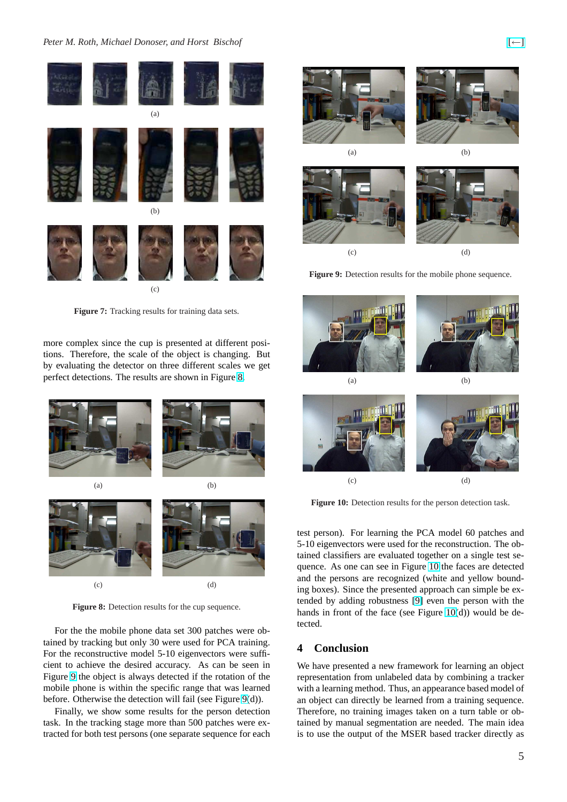

(c)

**Figure 7:** Tracking results for training data sets.

more complex since the cup is presented at different positions. Therefore, the scale of the object is changing. But by evaluating the detector on three different scales we get perfect detections. The results are shown in Figure 8.



Figure 8: Detection results for the cup sequence.

(c) (d)

For the the mobile phone data set 300 patches were obtained by tracking but only 30 were used for PCA training. For the reconstructive model 5-10 eigenvectors were sufficient to achieve the desired accuracy. As can be seen in Figure 9 the object is always detected if the rotation of the mobile phone is within the specific range that was learned before. Otherwise the detection will fail (see Figure 9(d)).

Finally, we show some results for the person detection task. In the tracking stage more than 500 patches were extracted for both test persons (one separate sequence for each







(a) (b)

**Figure 9:** Detection results for the mobile phone sequence.





**Figure 10:** Detection results for the person detection task.

test person). For learning the PCA model 60 patches and 5-10 eigenvectors were used for the reconstruction. The obtained classifiers are evaluated together on a single test sequence. As one can see in Figure 10 the faces are detected and the persons are recognized (white and yellow bounding boxes). Since the presented approach can simple be extended by adding robustness [9] even the person with the hands in front of the face (see Figure 10(d)) would be detected.

## **4 Conclusion**

We have presented a new framework for learning an object representation from unlabeled data by combining a tracker with a learning method. Thus, an appearance based model of an object can directly be learned from a training sequence. Therefore, no training images taken on a turn table or obtained by manual segmentation are needed. The main idea is to use the output of the MSER based tracker directly as